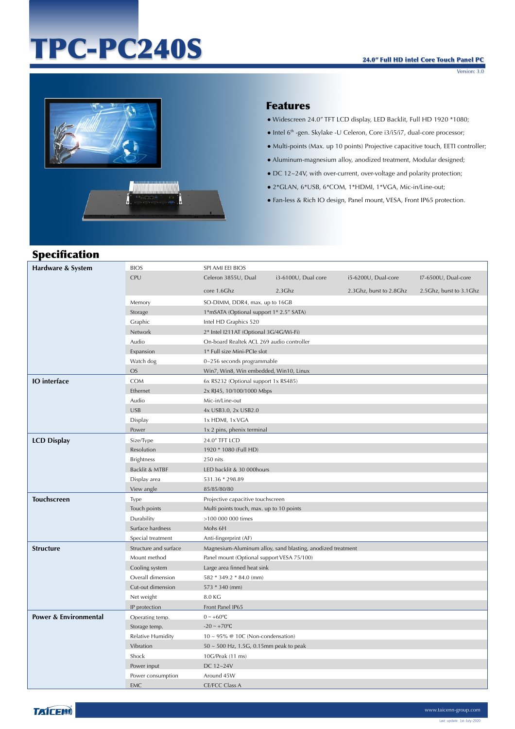# TPC-PC240S

Version: 3.0



#### Features

- Widescreen 24.0" TFT LCD display, LED Backlit, Full HD 1920 \*1080;
- Intel 6th -gen. Skylake -U Celeron, Core i3/i5/i7, dual-core processor;
- Multi-points (Max. up 10 points) Projective capacitive touch, EETI controller;
- Aluminum-magnesium alloy, anodized treatment, Modular designed;
- DC 12~24V, with over-current, over-voltage and polarity protection;
- 2\*GLAN, 6\*USB, 6\*COM, 1\*HDMI, 1\*VGA, Mic-in/Line-out;
- Fan-less & Rich IO design, Panel mount, VESA, Front IP65 protection.

| <b>Specification</b>             |                       |                                            |                                                             |                         |                           |
|----------------------------------|-----------------------|--------------------------------------------|-------------------------------------------------------------|-------------------------|---------------------------|
| Hardware & System                | <b>BIOS</b>           | SPI AMI EEI BIOS                           |                                                             |                         |                           |
|                                  | CPU                   | Celeron 3855U, Dual                        | i3-6100U, Dual core                                         | i5-6200U, Dual-core     | I7-6500U, Dual-core       |
|                                  |                       | core 1.6Ghz                                | 2.3Ghz                                                      | 2.3Ghz, burst to 2.8Ghz | 2.5 Ghz, burst to 3.1 Ghz |
|                                  | Memory                | SO-DIMM, DDR4, max. up to 16GB             |                                                             |                         |                           |
|                                  | Storage               | 1*mSATA (Optional support 1* 2.5" SATA)    |                                                             |                         |                           |
|                                  | Graphic               | Intel HD Graphics 520                      |                                                             |                         |                           |
|                                  | Network               | 2* Intel I211AT (Optional 3G/4G/Wi-Fi)     |                                                             |                         |                           |
|                                  | Audio                 | On-board Realtek ACL 269 audio controller  |                                                             |                         |                           |
|                                  | Expansion             | 1* Full size Mini-PCIe slot                |                                                             |                         |                           |
|                                  | Watch dog             | $0 - 256$ seconds programmable             |                                                             |                         |                           |
|                                  | OS                    | Win7, Win8, Win embedded, Win10, Linux     |                                                             |                         |                           |
| <b>IO</b> interface              | <b>COM</b>            | 6x RS232 (Optional support 1x RS485)       |                                                             |                         |                           |
|                                  | Ethernet              | 2x RJ45, 10/100/1000 Mbps                  |                                                             |                         |                           |
|                                  | Audio                 | Mic-in/Line-out                            |                                                             |                         |                           |
|                                  | <b>USB</b>            | 4x USB3.0, 2x USB2.0                       |                                                             |                         |                           |
|                                  | Display               | 1x HDMI, 1x VGA                            |                                                             |                         |                           |
|                                  | Power                 | 1x 2 pins, phenix terminal                 |                                                             |                         |                           |
| <b>LCD Display</b>               | Size/Type             | 24.0" TFT LCD                              |                                                             |                         |                           |
|                                  | Resolution            | 1920 * 1080 (Full HD)                      |                                                             |                         |                           |
|                                  | <b>Brightness</b>     | 250 nits                                   |                                                             |                         |                           |
|                                  | Backlit & MTBF        | LED backlit & 30 000hours                  |                                                             |                         |                           |
|                                  | Display area          | 531.36 * 298.89                            |                                                             |                         |                           |
|                                  | View angle            | 85/85/80/80                                |                                                             |                         |                           |
| <b>Touchscreen</b>               | Type                  | Projective capacitive touchscreen          |                                                             |                         |                           |
|                                  | Touch points          | Multi points touch, max. up to 10 points   |                                                             |                         |                           |
|                                  | Durability            | >100 000 000 times                         |                                                             |                         |                           |
|                                  | Surface hardness      | Mohs 6H                                    |                                                             |                         |                           |
|                                  | Special treatment     | Anti-fingerprint (AF)                      |                                                             |                         |                           |
| <b>Structure</b>                 | Structure and surface |                                            | Magnesium-Aluminum alloy, sand blasting, anodized treatment |                         |                           |
|                                  | Mount method          | Panel mount (Optional support VESA 75/100) |                                                             |                         |                           |
|                                  | Cooling system        | Large area finned heat sink                |                                                             |                         |                           |
|                                  | Overall dimension     | 582 * 349.2 * 84.0 (mm)                    |                                                             |                         |                           |
|                                  | Cut-out dimension     | 573 * 340 (mm)                             |                                                             |                         |                           |
|                                  | Net weight            | 8.0 KG                                     |                                                             |                         |                           |
|                                  | IP protection         | Front Panel IP65                           |                                                             |                         |                           |
| <b>Power &amp; Environmental</b> | Operating temp.       | $0 \sim +60$ °C                            |                                                             |                         |                           |
|                                  | Storage temp.         | $-20 \sim +70$ °C                          |                                                             |                         |                           |
|                                  | Relative Humidity     | $10 \sim 95\%$ @ 10C (Non-condensation)    |                                                             |                         |                           |
|                                  | Vibration             | 50 ~ 500 Hz, 1.5G, 0.15mm peak to peak     |                                                             |                         |                           |
|                                  | Shock                 | 10G/Peak (11 ms)                           |                                                             |                         |                           |
|                                  | Power input           | DC 12~24V                                  |                                                             |                         |                           |
|                                  | Power consumption     | Around 45W                                 |                                                             |                         |                           |
|                                  | <b>EMC</b>            | <b>CE/FCC Class A</b>                      |                                                             |                         |                           |